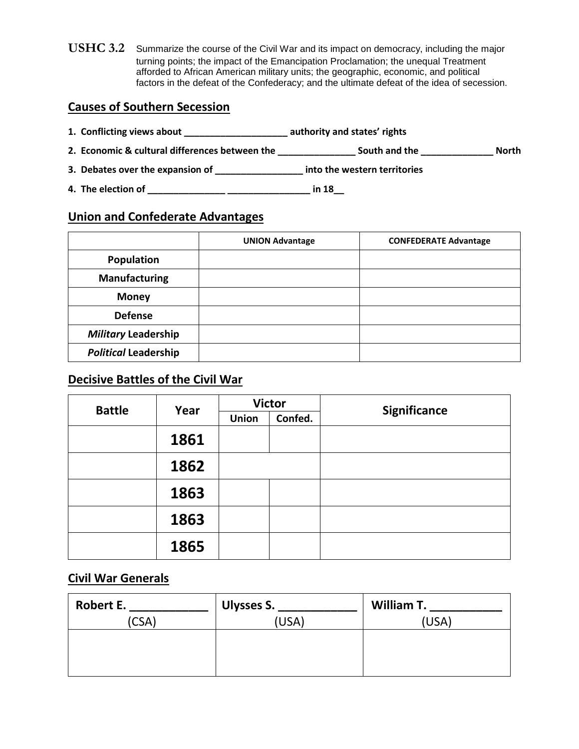**USHC 3.2** Summarize the course of the Civil War and its impact on democracy, including the major turning points; the impact of the Emancipation Proclamation; the unequal Treatment afforded to African American military units; the geographic, economic, and political factors in the defeat of the Confederacy; and the ultimate defeat of the idea of secession.

#### **Causes of Southern Secession**

- **1. Conflicting views about \_\_\_\_\_\_\_\_\_\_\_\_\_\_\_\_\_\_\_\_ authority and states' rights 2. Economic & cultural differences between the \_\_\_\_\_\_\_\_\_\_\_\_\_\_\_ South and the \_\_\_\_\_\_\_\_\_\_\_\_\_\_ North 3. Debates over the expansion of \_\_\_\_\_\_\_\_\_\_\_\_\_\_\_\_\_ into the western territories**
- **4. The election of \_\_\_\_\_\_\_\_\_\_\_\_\_\_\_ \_\_\_\_\_\_\_\_\_\_\_\_\_\_\_\_ in 18\_\_**

# **Union and Confederate Advantages**

|                             | <b>UNION Advantage</b> | <b>CONFEDERATE Advantage</b> |
|-----------------------------|------------------------|------------------------------|
| Population                  |                        |                              |
| <b>Manufacturing</b>        |                        |                              |
| <b>Money</b>                |                        |                              |
| <b>Defense</b>              |                        |                              |
| <b>Military Leadership</b>  |                        |                              |
| <b>Political Leadership</b> |                        |                              |

## **Decisive Battles of the Civil War**

| <b>Battle</b> | Year | <b>Victor</b> |         | Significance |
|---------------|------|---------------|---------|--------------|
|               |      | <b>Union</b>  | Confed. |              |
|               | 1861 |               |         |              |
|               | 1862 |               |         |              |
|               | 1863 |               |         |              |
|               | 1863 |               |         |              |
|               | 1865 |               |         |              |

#### **Civil War Generals**

| Robert E.  | <b>Ulysses S.</b> | William T. |
|------------|-------------------|------------|
| <b>CSA</b> | (USA)             | (USA)      |
|            |                   |            |
|            |                   |            |
|            |                   |            |